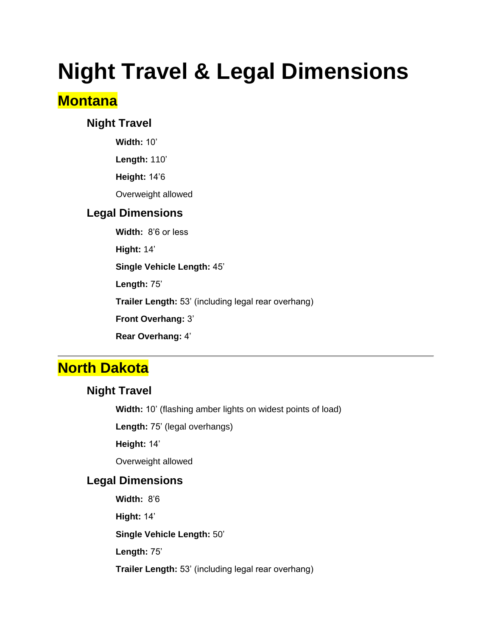# **Night Travel & Legal Dimensions**

### **Montana**

### **Night Travel**

**Width:** 10'

**Length:** 110'

**Height:** 14'6

Overweight allowed

### **Legal Dimensions**

**Width:** 8'6 or less

**Hight:** 14'

**Single Vehicle Length:** 45'

**Length:** 75'

**Trailer Length:** 53' (including legal rear overhang)

**Front Overhang:** 3'

**Rear Overhang:** 4'

### **North Dakota**

### **Night Travel**

**Width:** 10' (flashing amber lights on widest points of load)

**Length:** 75' (legal overhangs)

**Height:** 14'

Overweight allowed

### **Legal Dimensions**

**Width:** 8'6

**Hight:** 14'

**Single Vehicle Length:** 50'

**Length:** 75'

**Trailer Length:** 53' (including legal rear overhang)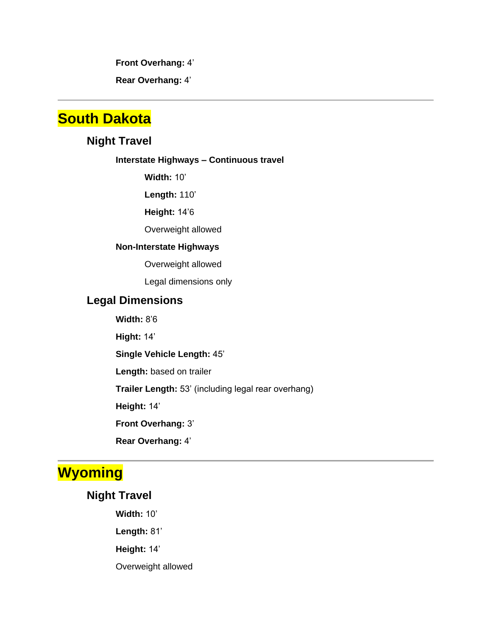**Front Overhang:** 4'

**Rear Overhang:** 4'

### **South Dakota**

### **Night Travel**

#### **Interstate Highways – Continuous travel**

**Width:** 10'

**Length:** 110'

**Height:** 14'6

Overweight allowed

#### **Non-Interstate Highways**

Overweight allowed

Legal dimensions only

#### **Legal Dimensions**

**Width:** 8'6

**Hight:** 14'

**Single Vehicle Length:** 45'

**Length:** based on trailer

**Trailer Length:** 53' (including legal rear overhang)

**Height:** 14'

**Front Overhang:** 3'

**Rear Overhang:** 4'

# **Wyoming**

### **Night Travel**

**Width:** 10'

**Length:** 81'

**Height:** 14'

Overweight allowed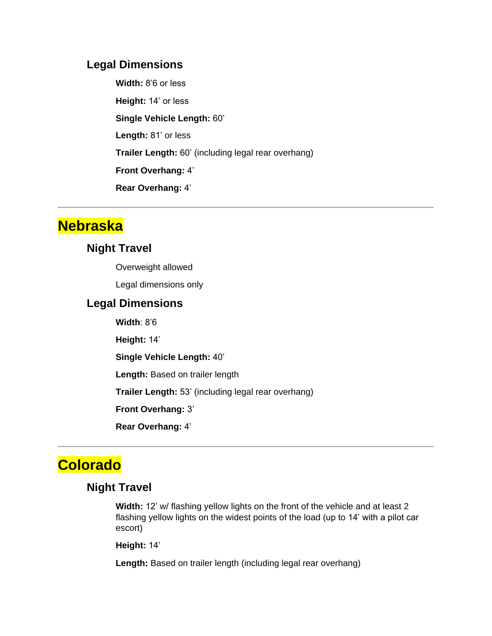#### **Legal Dimensions**

**Width:** 8'6 or less **Height:** 14' or less **Single Vehicle Length:** 60' **Length:** 81' or less **Trailer Length:** 60' (including legal rear overhang) **Front Overhang:** 4' **Rear Overhang:** 4'

### **Nebraska**

### **Night Travel**

Overweight allowed

Legal dimensions only

#### **Legal Dimensions**

**Width**: 8'6

**Height:** 14'

**Single Vehicle Length:** 40'

**Length:** Based on trailer length

**Trailer Length:** 53' (including legal rear overhang)

**Front Overhang:** 3'

**Rear Overhang:** 4'

# **Colorado**

### **Night Travel**

**Width:** 12' w/ flashing yellow lights on the front of the vehicle and at least 2 flashing yellow lights on the widest points of the load (up to 14' with a pilot car escort)

**Height:** 14'

**Length:** Based on trailer length (including legal rear overhang)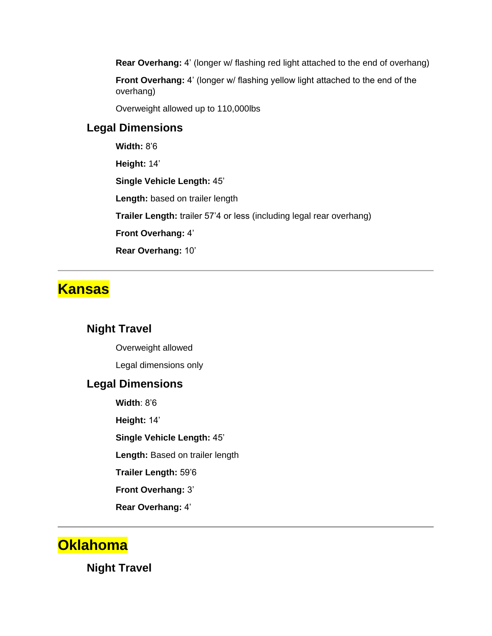**Rear Overhang:** 4' (longer w/ flashing red light attached to the end of overhang)

**Front Overhang:** 4' (longer w/ flashing yellow light attached to the end of the overhang)

Overweight allowed up to 110,000lbs

### **Legal Dimensions**

**Width:** 8'6

**Height:** 14'

**Single Vehicle Length:** 45'

Length: based on trailer length

**Trailer Length:** trailer 57'4 or less (including legal rear overhang)

**Front Overhang:** 4'

**Rear Overhang:** 10'

### **Kansas**

### **Night Travel**

Overweight allowed Legal dimensions only

### **Legal Dimensions**

**Width**: 8'6 **Height:** 14' **Single Vehicle Length:** 45' **Length:** Based on trailer length **Trailer Length:** 59'6 **Front Overhang:** 3' **Rear Overhang:** 4'

### **Oklahoma**

**Night Travel**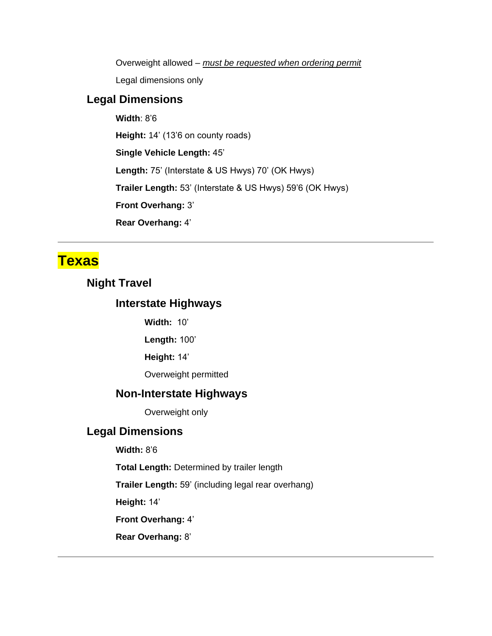Overweight allowed – *must be requested when ordering permit*

Legal dimensions only

### **Legal Dimensions**

**Width**: 8'6

**Height:** 14' (13'6 on county roads)

**Single Vehicle Length:** 45'

**Length:** 75' (Interstate & US Hwys) 70' (OK Hwys)

**Trailer Length:** 53' (Interstate & US Hwys) 59'6 (OK Hwys)

**Front Overhang:** 3'

**Rear Overhang:** 4'

### **Texas**

### **Night Travel**

### **Interstate Highways**

**Width:** 10'

**Length:** 100'

**Height:** 14'

Overweight permitted

### **Non-Interstate Highways**

Overweight only

### **Legal Dimensions**

**Width:** 8'6

**Total Length:** Determined by trailer length

**Trailer Length:** 59' (including legal rear overhang)

**Height:** 14'

**Front Overhang:** 4'

**Rear Overhang:** 8'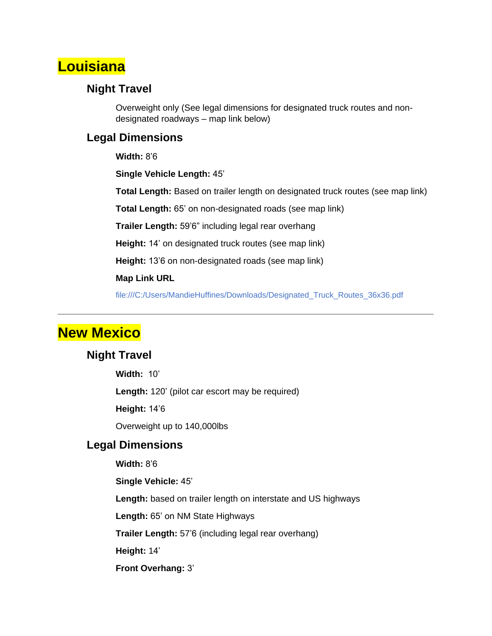### **Louisiana**

### **Night Travel**

Overweight only (See legal dimensions for designated truck routes and nondesignated roadways – map link below)

### **Legal Dimensions**

**Width:** 8'6

**Single Vehicle Length:** 45'

**Total Length:** Based on trailer length on designated truck routes (see map link)

**Total Length:** 65' on non-designated roads (see map link)

**Trailer Length:** 59'6" including legal rear overhang

**Height:** 14' on designated truck routes (see map link)

**Height:** 13'6 on non-designated roads (see map link)

#### **Map Link URL**

file:///C:/Users/MandieHuffines/Downloads/Designated\_Truck\_Routes\_36x36.pdf

### **New Mexico**

#### **Night Travel**

**Width:** 10'

**Length:** 120' (pilot car escort may be required)

**Height:** 14'6

Overweight up to 140,000lbs

#### **Legal Dimensions**

**Width:** 8'6

**Single Vehicle:** 45'

**Length:** based on trailer length on interstate and US highways

**Length:** 65' on NM State Highways

**Trailer Length:** 57'6 (including legal rear overhang)

**Height:** 14'

**Front Overhang:** 3'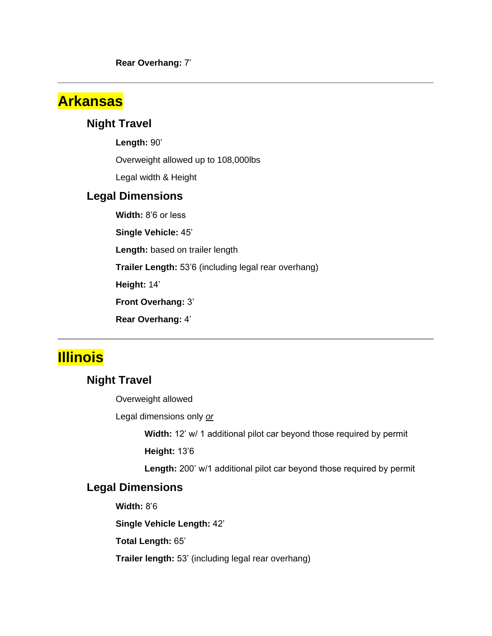**Rear Overhang:** 7'

### **Arkansas**

### **Night Travel**

**Length:** 90'

Overweight allowed up to 108,000lbs

Legal width & Height

#### **Legal Dimensions**

**Width:** 8'6 or less

**Single Vehicle:** 45'

Length: based on trailer length

**Trailer Length:** 53'6 (including legal rear overhang)

**Height:** 14'

**Front Overhang:** 3'

**Rear Overhang:** 4'

### **Illinois**

### **Night Travel**

Overweight allowed

Legal dimensions only *or*

**Width:** 12' w/ 1 additional pilot car beyond those required by permit

**Height:** 13'6

**Length:** 200' w/1 additional pilot car beyond those required by permit

### **Legal Dimensions**

**Width:** 8'6

**Single Vehicle Length:** 42'

**Total Length:** 65'

**Trailer length:** 53' (including legal rear overhang)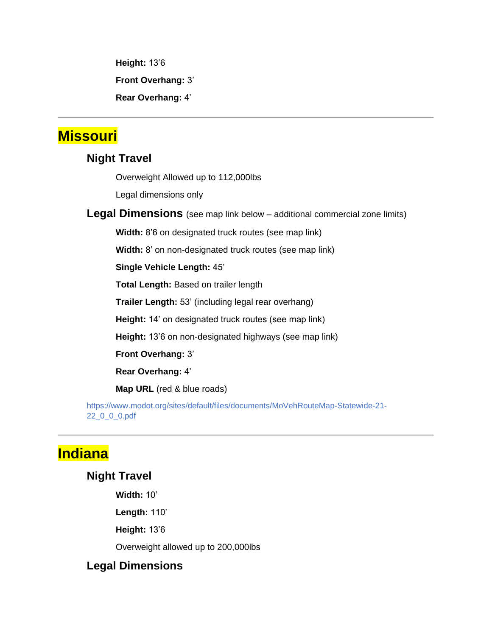**Height:** 13'6

**Front Overhang:** 3'

**Rear Overhang:** 4'

### **Missouri**

### **Night Travel**

Overweight Allowed up to 112,000lbs

Legal dimensions only

**Legal Dimensions** (see map link below – additional commercial zone limits)

**Width:** 8'6 on designated truck routes (see map link)

**Width:** 8' on non-designated truck routes (see map link)

**Single Vehicle Length:** 45'

**Total Length:** Based on trailer length

**Trailer Length:** 53' (including legal rear overhang)

**Height:** 14' on designated truck routes (see map link)

**Height:** 13'6 on non-designated highways (see map link)

**Front Overhang:** 3'

**Rear Overhang:** 4'

**Map URL** (red & blue roads)

https://www.modot.org/sites/default/files/documents/MoVehRouteMap-Statewide-21- 22\_0\_0\_0.pdf

### **Indiana**

### **Night Travel**

**Width:** 10'

**Length:** 110'

**Height:** 13'6

Overweight allowed up to 200,000lbs

### **Legal Dimensions**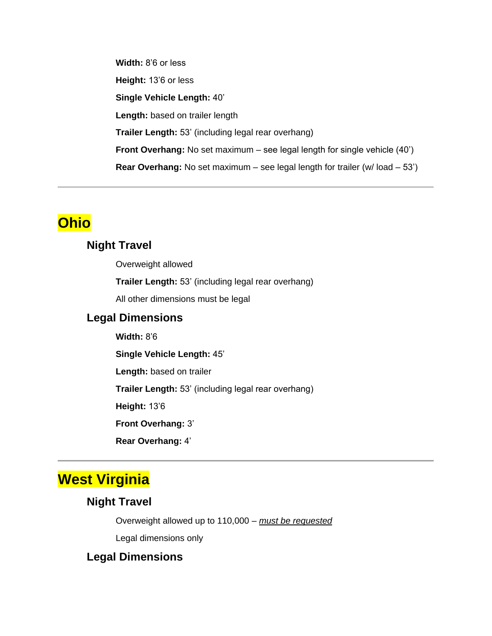**Width:** 8'6 or less **Height:** 13'6 or less **Single Vehicle Length:** 40' Length: based on trailer length **Trailer Length:** 53' (including legal rear overhang) **Front Overhang:** No set maximum – see legal length for single vehicle (40') **Rear Overhang:** No set maximum – see legal length for trailer (w/ load – 53')

### **Ohio**

### **Night Travel**

Overweight allowed

**Trailer Length:** 53' (including legal rear overhang)

All other dimensions must be legal

### **Legal Dimensions**

**Width:** 8'6

**Single Vehicle Length:** 45'

**Length:** based on trailer

**Trailer Length:** 53' (including legal rear overhang)

**Height:** 13'6

**Front Overhang:** 3'

**Rear Overhang:** 4'

### **West Virginia**

### **Night Travel**

Overweight allowed up to 110,000 – *must be requested*

Legal dimensions only

### **Legal Dimensions**